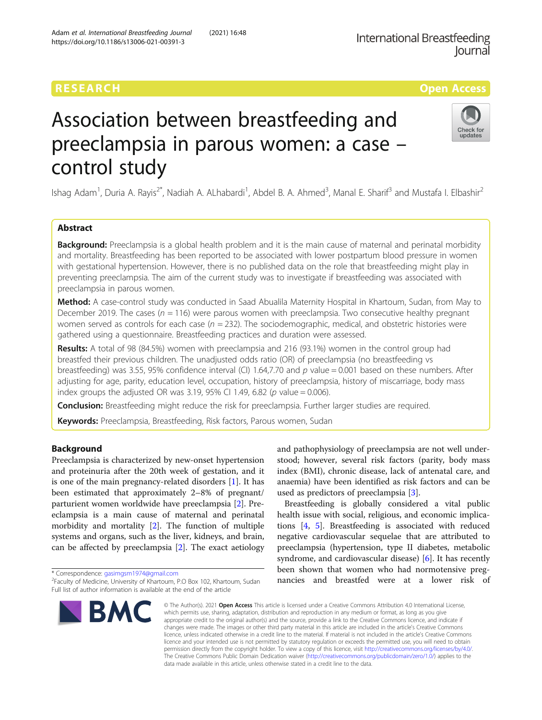### RESEARCH **RESEARCH CONSUMING THE CONSUMING THE CONSUMING THE CONSUMING TENS**

## Check for updates

# Association between breastfeeding and preeclampsia in parous women: a case – control study

Ishag Adam<sup>1</sup>, Duria A. Rayis<sup>2\*</sup>, Nadiah A. ALhabardi<sup>1</sup>, Abdel B. A. Ahmed<sup>3</sup>, Manal E. Sharif<sup>3</sup> and Mustafa I. Elbashir<sup>2</sup>

#### Abstract

**Background:** Preeclampsia is a global health problem and it is the main cause of maternal and perinatal morbidity and mortality. Breastfeeding has been reported to be associated with lower postpartum blood pressure in women with gestational hypertension. However, there is no published data on the role that breastfeeding might play in preventing preeclampsia. The aim of the current study was to investigate if breastfeeding was associated with preeclampsia in parous women.

Method: A case-control study was conducted in Saad Abualila Maternity Hospital in Khartoum, Sudan, from May to December 2019. The cases ( $n = 116$ ) were parous women with preeclampsia. Two consecutive healthy pregnant women served as controls for each case ( $n = 232$ ). The sociodemographic, medical, and obstetric histories were gathered using a questionnaire. Breastfeeding practices and duration were assessed.

Results: A total of 98 (84.5%) women with preeclampsia and 216 (93.1%) women in the control group had breastfed their previous children. The unadjusted odds ratio (OR) of preeclampsia (no breastfeeding vs breastfeeding) was 3.55, 95% confidence interval (CI) 1.64,7.70 and  $p$  value = 0.001 based on these numbers. After adjusting for age, parity, education level, occupation, history of preeclampsia, history of miscarriage, body mass index groups the adjusted OR was 3.19, 95% CI 1.49, 6.82 ( $p$  value = 0.006).

**Conclusion:** Breastfeeding might reduce the risk for preeclampsia. Further larger studies are required.

Keywords: Preeclampsia, Breastfeeding, Risk factors, Parous women, Sudan

#### **Background**

Preeclampsia is characterized by new-onset hypertension and proteinuria after the 20th week of gestation, and it is one of the main pregnancy-related disorders [\[1](#page-4-0)]. It has been estimated that approximately 2–8% of pregnant/ parturient women worldwide have preeclampsia [\[2](#page-4-0)]. Preeclampsia is a main cause of maternal and perinatal morbidity and mortality [\[2](#page-4-0)]. The function of multiple systems and organs, such as the liver, kidneys, and brain, can be affected by preeclampsia [[2\]](#page-4-0). The exact aetiology

\* Correspondence: [gasimgsm1974@gmail.com](mailto:gasimgsm1974@gmail.com) <sup>2</sup>

<sup>&</sup>lt;sup>2</sup>Faculty of Medicine, University of Khartoum, P.O Box 102, Khartoum, Sudan Full list of author information is available at the end of the article



and pathophysiology of preeclampsia are not well understood; however, several risk factors (parity, body mass index (BMI), chronic disease, lack of antenatal care, and anaemia) have been identified as risk factors and can be used as predictors of preeclampsia [[3\]](#page-4-0).

Breastfeeding is globally considered a vital public health issue with social, religious, and economic implications [[4,](#page-4-0) [5](#page-4-0)]. Breastfeeding is associated with reduced negative cardiovascular sequelae that are attributed to preeclampsia (hypertension, type II diabetes, metabolic syndrome, and cardiovascular disease) [\[6](#page-4-0)]. It has recently been shown that women who had normotensive pregnancies and breastfed were at a lower risk of

© The Author(s), 2021 **Open Access** This article is licensed under a Creative Commons Attribution 4.0 International License, which permits use, sharing, adaptation, distribution and reproduction in any medium or format, as long as you give appropriate credit to the original author(s) and the source, provide a link to the Creative Commons licence, and indicate if changes were made. The images or other third party material in this article are included in the article's Creative Commons licence, unless indicated otherwise in a credit line to the material. If material is not included in the article's Creative Commons licence and your intended use is not permitted by statutory regulation or exceeds the permitted use, you will need to obtain permission directly from the copyright holder. To view a copy of this licence, visit [http://creativecommons.org/licenses/by/4.0/.](http://creativecommons.org/licenses/by/4.0/) The Creative Commons Public Domain Dedication waiver [\(http://creativecommons.org/publicdomain/zero/1.0/](http://creativecommons.org/publicdomain/zero/1.0/)) applies to the data made available in this article, unless otherwise stated in a credit line to the data.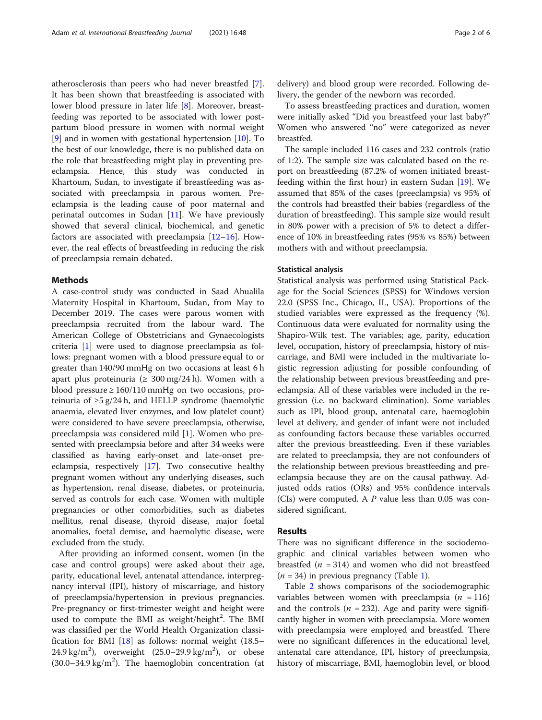atherosclerosis than peers who had never breastfed [\[7](#page-4-0)]. It has been shown that breastfeeding is associated with lower blood pressure in later life [\[8](#page-4-0)]. Moreover, breastfeeding was reported to be associated with lower postpartum blood pressure in women with normal weight [[9\]](#page-4-0) and in women with gestational hypertension  $[10]$  $[10]$  $[10]$ . To the best of our knowledge, there is no published data on the role that breastfeeding might play in preventing preeclampsia. Hence, this study was conducted in Khartoum, Sudan, to investigate if breastfeeding was associated with preeclampsia in parous women. Preeclampsia is the leading cause of poor maternal and perinatal outcomes in Sudan [\[11\]](#page-4-0). We have previously showed that several clinical, biochemical, and genetic factors are associated with preeclampsia  $[12-16]$  $[12-16]$  $[12-16]$  $[12-16]$ . However, the real effects of breastfeeding in reducing the risk of preeclampsia remain debated.

#### Methods

A case-control study was conducted in Saad Abualila Maternity Hospital in Khartoum, Sudan, from May to December 2019. The cases were parous women with preeclampsia recruited from the labour ward. The American College of Obstetricians and Gynaecologists criteria [\[1](#page-4-0)] were used to diagnose preeclampsia as follows: pregnant women with a blood pressure equal to or greater than 140/90 mmHg on two occasions at least 6 h apart plus proteinuria ( $\geq 300 \text{ mg}/24 \text{ h}$ ). Women with a blood pressure  $\geq 160/110$  mmHg on two occasions, proteinuria of  $\geq$ 5 g/24 h, and HELLP syndrome (haemolytic anaemia, elevated liver enzymes, and low platelet count) were considered to have severe preeclampsia, otherwise, preeclampsia was considered mild [[1](#page-4-0)]. Women who presented with preeclampsia before and after 34 weeks were classified as having early-onset and late-onset preeclampsia, respectively [[17](#page-5-0)]. Two consecutive healthy pregnant women without any underlying diseases, such as hypertension, renal disease, diabetes, or proteinuria, served as controls for each case. Women with multiple pregnancies or other comorbidities, such as diabetes mellitus, renal disease, thyroid disease, major foetal anomalies, foetal demise, and haemolytic disease, were excluded from the study.

After providing an informed consent, women (in the case and control groups) were asked about their age, parity, educational level, antenatal attendance, interpregnancy interval (IPI), history of miscarriage, and history of preeclampsia/hypertension in previous pregnancies. Pre-pregnancy or first-trimester weight and height were used to compute the BMI as weight/height<sup>2</sup>. The BMI was classified per the World Health Organization classification for BMI [[18](#page-5-0)] as follows: normal weight (18.5– 24.9 kg/m<sup>2</sup>), overweight  $(25.0-29.9 \text{ kg/m}^2)$ , or obese  $(30.0-34.9 \text{ kg/m}^2)$ . The haemoglobin concentration (at

delivery) and blood group were recorded. Following delivery, the gender of the newborn was recorded.

To assess breastfeeding practices and duration, women were initially asked "Did you breastfeed your last baby?" Women who answered "no" were categorized as never breastfed.

The sample included 116 cases and 232 controls (ratio of 1:2). The sample size was calculated based on the report on breastfeeding (87.2% of women initiated breastfeeding within the first hour) in eastern Sudan [[19](#page-5-0)]. We assumed that 85% of the cases (preeclampsia) vs 95% of the controls had breastfed their babies (regardless of the duration of breastfeeding). This sample size would result in 80% power with a precision of 5% to detect a difference of 10% in breastfeeding rates (95% vs 85%) between mothers with and without preeclampsia.

#### Statistical analysis

Statistical analysis was performed using Statistical Package for the Social Sciences (SPSS) for Windows version 22.0 (SPSS Inc., Chicago, IL, USA). Proportions of the studied variables were expressed as the frequency (%). Continuous data were evaluated for normality using the Shapiro-Wilk test. The variables; age, parity, education level, occupation, history of preeclampsia, history of miscarriage, and BMI were included in the multivariate logistic regression adjusting for possible confounding of the relationship between previous breastfeeding and preeclampsia. All of these variables were included in the regression (i.e. no backward elimination). Some variables such as IPI, blood group, antenatal care, haemoglobin level at delivery, and gender of infant were not included as confounding factors because these variables occurred after the previous breastfeeding. Even if these variables are related to preeclampsia, they are not confounders of the relationship between previous breastfeeding and preeclampsia because they are on the causal pathway. Adjusted odds ratios (ORs) and 95% confidence intervals (CIs) were computed. A  $P$  value less than 0.05 was considered significant.

#### Results

There was no significant difference in the sociodemographic and clinical variables between women who breastfed ( $n = 314$ ) and women who did not breastfeed  $(n = 34)$  in previous pregnancy (Table [1](#page-2-0)).

Table [2](#page-3-0) shows comparisons of the sociodemographic variables between women with preeclampsia ( $n = 116$ ) and the controls ( $n = 232$ ). Age and parity were significantly higher in women with preeclampsia. More women with preeclampsia were employed and breastfed. There were no significant differences in the educational level, antenatal care attendance, IPI, history of preeclampsia, history of miscarriage, BMI, haemoglobin level, or blood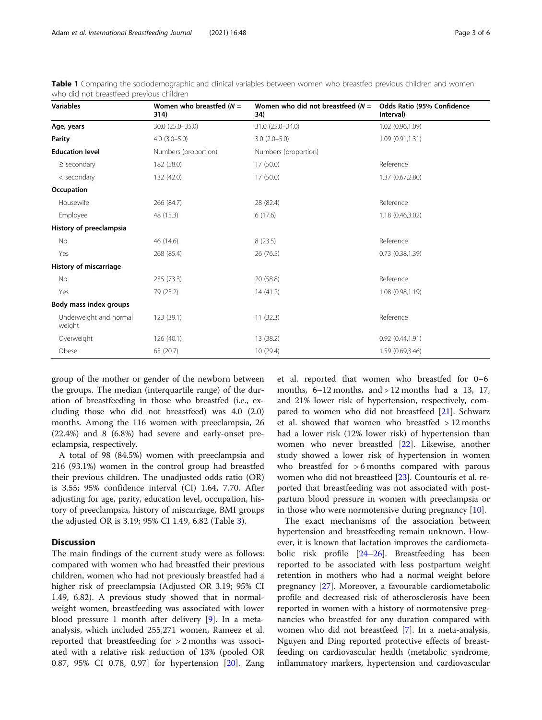| <b>Variables</b>                 | Women who breastfed $(N =$<br>314) | Women who did not breastfeed $(N =$<br>34) | Odds Ratio (95% Confidence<br>Interval)<br>1.02 (0.96,1.09) |  |  |
|----------------------------------|------------------------------------|--------------------------------------------|-------------------------------------------------------------|--|--|
| Age, years                       | 30.0 (25.0-35.0)                   | 31.0 (25.0-34.0)                           |                                                             |  |  |
| Parity                           | $4.0(3.0-5.0)$                     | $3.0(2.0-5.0)$                             | 1.09 (0.91,1.31)                                            |  |  |
| <b>Education level</b>           | Numbers (proportion)               | Numbers (proportion)                       |                                                             |  |  |
| $\ge$ secondary                  | 182 (58.0)                         | 17 (50.0)                                  | Reference                                                   |  |  |
| < secondary                      | 132 (42.0)                         | 17(50.0)                                   | 1.37 (0.67,2.80)                                            |  |  |
| Occupation                       |                                    |                                            |                                                             |  |  |
| Housewife                        | 266 (84.7)                         | 28 (82.4)                                  | Reference                                                   |  |  |
| Employee                         | 48 (15.3)                          | 6(17.6)                                    | 1.18 (0.46,3.02)                                            |  |  |
| History of preeclampsia          |                                    |                                            |                                                             |  |  |
| No                               | 46 (14.6)                          | 8(23.5)                                    | Reference                                                   |  |  |
| Yes                              | 268 (85.4)                         | 26 (76.5)                                  | 0.73(0.38, 1.39)                                            |  |  |
| History of miscarriage           |                                    |                                            |                                                             |  |  |
| No                               | 235 (73.3)                         | 20 (58.8)                                  | Reference                                                   |  |  |
| Yes                              | 79 (25.2)                          | 14(41.2)                                   | 1.08 (0.98,1.19)                                            |  |  |
| Body mass index groups           |                                    |                                            |                                                             |  |  |
| Underweight and normal<br>weight | 123(39.1)                          | 11(32.3)                                   | Reference                                                   |  |  |
| Overweight                       | 126(40.1)                          | 13 (38.2)                                  | 0.92(0.44, 1.91)                                            |  |  |
| Obese                            | 65 (20.7)                          | 10 (29.4)                                  | 1.59 (0.69,3.46)                                            |  |  |

<span id="page-2-0"></span>Table 1 Comparing the sociodemographic and clinical variables between women who breastfed previous children and women who did not breastfeed previous children

group of the mother or gender of the newborn between the groups. The median (interquartile range) of the duration of breastfeeding in those who breastfed (i.e., excluding those who did not breastfeed) was 4.0 (2.0) months. Among the 116 women with preeclampsia, 26 (22.4%) and 8 (6.8%) had severe and early-onset preeclampsia, respectively.

A total of 98 (84.5%) women with preeclampsia and 216 (93.1%) women in the control group had breastfed their previous children. The unadjusted odds ratio (OR) is 3.55; 95% confidence interval (CI) 1.64, 7.70. After adjusting for age, parity, education level, occupation, history of preeclampsia, history of miscarriage, BMI groups the adjusted OR is 3.19; 95% CI 1.49, 6.82 (Table [3\)](#page-3-0).

#### **Discussion**

The main findings of the current study were as follows: compared with women who had breastfed their previous children, women who had not previously breastfed had a higher risk of preeclampsia (Adjusted OR 3.19; 95% CI 1.49, 6.82). A previous study showed that in normalweight women, breastfeeding was associated with lower blood pressure 1 month after delivery [[9\]](#page-4-0). In a metaanalysis, which included 255,271 women, Rameez et al. reported that breastfeeding for > 2 months was associated with a relative risk reduction of 13% (pooled OR 0.87, 95% CI 0.78, 0.97] for hypertension [\[20\]](#page-5-0). Zang

et al. reported that women who breastfed for 0–6 months,  $6-12$  months, and  $> 12$  months had a 13, 17, and 21% lower risk of hypertension, respectively, compared to women who did not breastfeed [\[21\]](#page-5-0). Schwarz et al. showed that women who breastfed > 12 months had a lower risk (12% lower risk) of hypertension than women who never breastfed [\[22](#page-5-0)]. Likewise, another study showed a lower risk of hypertension in women who breastfed for >6 months compared with parous women who did not breastfeed [[23](#page-5-0)]. Countouris et al. reported that breastfeeding was not associated with postpartum blood pressure in women with preeclampsia or in those who were normotensive during pregnancy [\[10](#page-4-0)].

The exact mechanisms of the association between hypertension and breastfeeding remain unknown. However, it is known that lactation improves the cardiometabolic risk profile [[24](#page-5-0)–[26](#page-5-0)]. Breastfeeding has been reported to be associated with less postpartum weight retention in mothers who had a normal weight before pregnancy [[27\]](#page-5-0). Moreover, a favourable cardiometabolic profile and decreased risk of atherosclerosis have been reported in women with a history of normotensive pregnancies who breastfed for any duration compared with women who did not breastfeed [\[7\]](#page-4-0). In a meta-analysis, Nguyen and Ding reported protective effects of breastfeeding on cardiovascular health (metabolic syndrome, inflammatory markers, hypertension and cardiovascular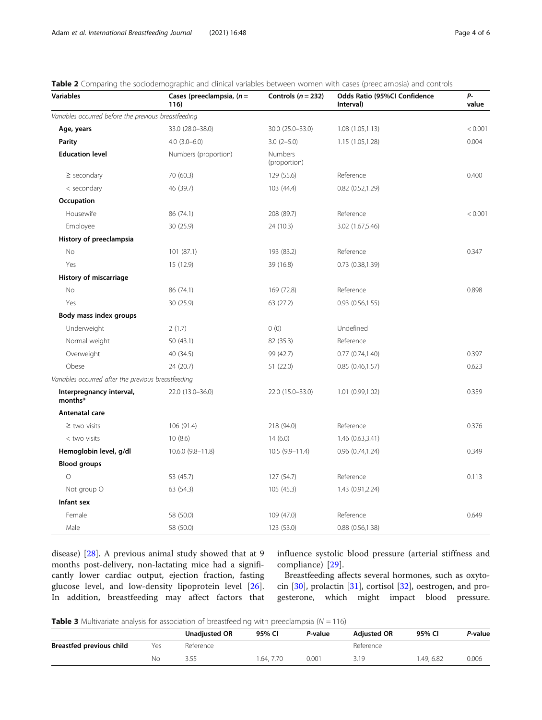| <b>Variables</b>                                     | Cases (preeclampsia, $(n =$<br>116) | Controls ( $n = 232$ )  | Odds Ratio (95%Cl Confidence<br>Interval) | p.<br>value |
|------------------------------------------------------|-------------------------------------|-------------------------|-------------------------------------------|-------------|
| Variables occurred before the previous breastfeeding |                                     |                         |                                           |             |
| Age, years                                           | 33.0 (28.0-38.0)                    | 30.0 (25.0-33.0)        | 1.08(1.05, 1.13)                          | < 0.001     |
| Parity                                               | $4.0$ $(3.0 - 6.0)$                 | $3.0(2-5.0)$            | 1.15 (1.05,1.28)                          | 0.004       |
| <b>Education level</b>                               | Numbers (proportion)                | Numbers<br>(proportion) |                                           |             |
| $\ge$ secondary                                      | 70 (60.3)                           | 129 (55.6)              | Reference                                 | 0.400       |
| < secondary                                          | 46 (39.7)                           | 103 (44.4)              | $0.82$ $(0.52, 1.29)$                     |             |
| Occupation                                           |                                     |                         |                                           |             |
| Housewife                                            | 86 (74.1)                           | 208 (89.7)              | Reference                                 | < 0.001     |
| Employee                                             | 30(25.9)                            | 24 (10.3)               | 3.02 (1.67,5.46)                          |             |
| History of preeclampsia                              |                                     |                         |                                           |             |
| No                                                   | 101(87.1)                           | 193 (83.2)              | Reference                                 | 0.347       |
| Yes                                                  | 15(12.9)                            | 39 (16.8)               | 0.73(0.38, 1.39)                          |             |
| History of miscarriage                               |                                     |                         |                                           |             |
| No                                                   | 86 (74.1)                           | 169 (72.8)              | Reference                                 | 0.898       |
| Yes                                                  | 30(25.9)                            | 63 (27.2)               | 0.93(0.56, 1.55)                          |             |
| Body mass index groups                               |                                     |                         |                                           |             |
| Underweight                                          | 2(1.7)                              | 0(0)                    | Undefined                                 |             |
| Normal weight                                        | 50(43.1)                            | 82 (35.3)               | Reference                                 |             |
| Overweight                                           | 40 (34.5)                           | 99 (42.7)               | 0.77(0.74, 1.40)                          | 0.397       |
| Obese                                                | 24 (20.7)                           | 51 (22.0)               | 0.85(0.46, 1.57)                          | 0.623       |
| Variables occurred after the previous breastfeeding  |                                     |                         |                                           |             |
| Interpregnancy interval,<br>months*                  | 22.0 (13.0-36.0)                    | 22.0 (15.0-33.0)        | 1.01(0.99, 1.02)                          | 0.359       |
| Antenatal care                                       |                                     |                         |                                           |             |
| $\geq$ two visits                                    | 106 (91.4)                          | 218 (94.0)              | Reference                                 | 0.376       |
| < two visits                                         | 10(8.6)                             | 14(6.0)                 | 1.46 (0.63,3.41)                          |             |
| Hemoglobin level, g/dl                               | 10.6.0 (9.8-11.8)                   | $10.5(9.9 - 11.4)$      | 0.96(0.74, 1.24)                          | 0.349       |
| <b>Blood groups</b>                                  |                                     |                         |                                           |             |
| $\circ$                                              | 53 (45.7)                           | 127(54.7)               | Reference                                 | 0.113       |
| Not group O                                          | 63 (54.3)                           | 105(45.3)               | 1.43 (0.91,2.24)                          |             |
| Infant sex                                           |                                     |                         |                                           |             |
| Female                                               | 58 (50.0)                           | 109 (47.0)              | Reference                                 | 0.649       |
| Male                                                 | 58 (50.0)                           | 123 (53.0)              | $0.88$ $(0.56, 1.38)$                     |             |

<span id="page-3-0"></span>Table 2 Comparing the sociodemographic and clinical variables between women with cases (preeclampsia) and controls

disease) [\[28](#page-5-0)]. A previous animal study showed that at 9 months post-delivery, non-lactating mice had a significantly lower cardiac output, ejection fraction, fasting glucose level, and low-density lipoprotein level [\[26](#page-5-0)]. In addition, breastfeeding may affect factors that influence systolic blood pressure (arterial stiffness and compliance) [[29\]](#page-5-0).

Breastfeeding affects several hormones, such as oxytocin [\[30](#page-5-0)], prolactin [\[31](#page-5-0)], cortisol [\[32](#page-5-0)], oestrogen, and progesterone, which might impact blood pressure.

**Table 3** Multivariate analysis for association of breastfeeding with preeclampsia ( $N = 116$ )

|                          |     | <b>Unadiusted OR</b> | 95% CI    | P-value | <b>Adiusted OR</b> | 95% CI   | P-value |
|--------------------------|-----|----------------------|-----------|---------|--------------------|----------|---------|
| Breastfed previous child | Yes | Reference            |           |         | Reference          |          |         |
|                          | Νo  |                      | .64, 7.70 | 0.001   | 3.19               | .49.6.82 | 0.006   |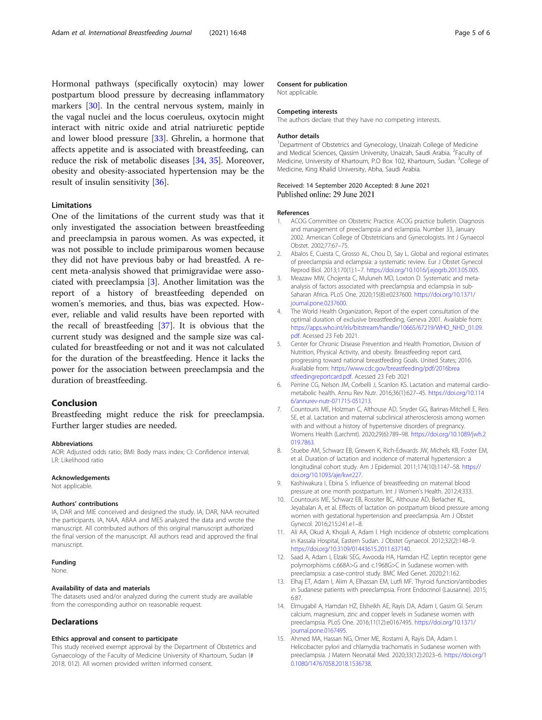<span id="page-4-0"></span>Hormonal pathways (specifically oxytocin) may lower postpartum blood pressure by decreasing inflammatory markers [\[30](#page-5-0)]. In the central nervous system, mainly in the vagal nuclei and the locus coeruleus, oxytocin might interact with nitric oxide and atrial natriuretic peptide and lower blood pressure [[33](#page-5-0)]. Ghrelin, a hormone that affects appetite and is associated with breastfeeding, can reduce the risk of metabolic diseases [[34,](#page-5-0) [35\]](#page-5-0). Moreover, obesity and obesity-associated hypertension may be the result of insulin sensitivity [\[36](#page-5-0)].

#### Limitations

One of the limitations of the current study was that it only investigated the association between breastfeeding and preeclampsia in parous women. As was expected, it was not possible to include primiparous women because they did not have previous baby or had breastfed. A recent meta-analysis showed that primigravidae were associated with preeclampsia [3]. Another limitation was the report of a history of breastfeeding depended on women's memories, and thus, bias was expected. However, reliable and valid results have been reported with the recall of breastfeeding [[37\]](#page-5-0). It is obvious that the current study was designed and the sample size was calculated for breastfeeding or not and it was not calculated for the duration of the breastfeeding. Hence it lacks the power for the association between preeclampsia and the duration of breastfeeding.

#### Conclusion

Breastfeeding might reduce the risk for preeclampsia. Further larger studies are needed.

#### Abbreviations

AOR: Adjusted odds ratio; BMI: Body mass index; CI: Confidence interval; LR: Likelihood ratio

#### Acknowledgements

Not applicable.

#### Authors' contributions

IA, DAR and MIE conceived and designed the study. IA, DAR, NAA recruited the participants. IA, NAA, ABAA and MES analyzed the data and wrote the manuscript. All contributed authors of this original manuscript authorized the final version of the manuscript. All authors read and approved the final manuscript.

#### Funding

None.

#### Availability of data and materials

The datasets used and/or analyzed during the current study are available from the corresponding author on reasonable request.

#### Declarations

#### Ethics approval and consent to participate

This study received exempt approval by the Department of Obstetrics and Gynaecology of the Faculty of Medicine University of Khartoum, Sudan (# 2018, 012). All women provided written informed consent.

#### Consent for publication

Not applicable.

#### Competing interests

The authors declare that they have no competing interests.

#### Author details

<sup>1</sup>Department of Obstetrics and Gynecology, Unaizah College of Medicine and Medical Sciences, Qassim University, Unaizah, Saudi Arabia. <sup>2</sup>Faculty of Medicine, University of Khartoum, P.O Box 102, Khartoum, Sudan. <sup>3</sup>College of Medicine, King Khalid University, Abha, Saudi Arabia.

#### Received: 14 September 2020 Accepted: 8 June 2021 Published online: 29 June 2021

#### References

- 1. ACOG Committee on Obstetric Practice. ACOG practice bulletin. Diagnosis and management of preeclampsia and eclampsia. Number 33, January 2002. American College of Obstetricians and Gynecologists. Int J Gynaecol Obstet. 2002;77:67–75.
- 2. Abalos E, Cuesta C, Grosso AL, Chou D, Say L. Global and regional estimates of preeclampsia and eclampsia: a systematic review. Eur J Obstet Gynecol Reprod Biol. 2013;170(1):1–7. [https://doi.org/10.1016/j.ejogrb.2013.05.005.](https://doi.org/10.1016/j.ejogrb.2013.05.005)
- 3. Meazaw MW, Chojenta C, Muluneh MD, Loxton D. Systematic and metaanalysis of factors associated with preeclampsia and eclampsia in sub-Saharan Africa. PLoS One. 2020;15(8):e0237600. [https://doi.org/10.1371/](https://doi.org/10.1371/journal.pone.0237600) [journal.pone.0237600](https://doi.org/10.1371/journal.pone.0237600).
- 4. The World Health Organization, Report of the expert consultation of the optimal duration of exclusive breastfeeding, Geneva 2001. Available from: [https://apps.who.int/iris/bitstream/handle/10665/67219/WHO\\_NHD\\_01.09.](https://apps.who.int/iris/bitstream/handle/10665/67219/WHO_NHD_01.09.pdf) [pdf](https://apps.who.int/iris/bitstream/handle/10665/67219/WHO_NHD_01.09.pdf). Acessed 23 Feb 2021.
- 5. Center for Chronic Disease Prevention and Health Promotion, Division of Nutrition, Physical Activity, and obesity. Breastfeeding report card, progressing toward national breastfeeding Goals. United States; 2016. Available from: [https://www.cdc.gov/breastfeeding/pdf/2016brea](https://www.cdc.gov/breastfeeding/pdf/2016breastfeedingreportcard.pdf) [stfeedingreportcard.pdf](https://www.cdc.gov/breastfeeding/pdf/2016breastfeedingreportcard.pdf). Acessed 23 Feb 2021
- 6. Perrine CG, Nelson JM, Corbelli J, Scanlon KS. Lactation and maternal cardiometabolic health. Annu Rev Nutr. 2016;36(1):627–45. [https://doi.org/10.114](https://doi.org/10.1146/annurev-nutr-071715-051213) [6/annurev-nutr-071715-051213.](https://doi.org/10.1146/annurev-nutr-071715-051213)
- 7. Countouris ME, Holzman C, Althouse AD, Snyder GG, Barinas-Mitchell E, Reis SE, et al. Lactation and maternal subclinical atherosclerosis among women with and without a history of hypertensive disorders of pregnancy. Womens Health (Larchmt). 2020;29(6):789–98. [https://doi.org/10.1089/jwh.2](https://doi.org/10.1089/jwh.2019.7863) [019.7863.](https://doi.org/10.1089/jwh.2019.7863)
- 8. Stuebe AM, Schwarz EB, Grewen K, Rich-Edwards JW, Michels KB, Foster EM, et al. Duration of lactation and incidence of maternal hypertension: a longitudinal cohort study. Am J Epidemiol. 2011;174(10):1147–58. [https://](https://doi.org/10.1093/aje/kwr227) [doi.org/10.1093/aje/kwr227](https://doi.org/10.1093/aje/kwr227).
- 9. Kashiwakura I, Ebina S. Influence of breastfeeding on maternal blood pressure at one month postpartum. Int J Women's Health. 2012;4:333.
- 10. Countouris ME, Schwarz EB, Rossiter BC, Althouse AD, Berlacher KL, Jeyabalan A, et al. Effects of lactation on postpartum blood pressure among women with gestational hypertension and preeclampsia. Am J Obstet Gynecol. 2016;215:241.e1–8.
- 11. Ali AA, Okud A, Khojali A, Adam I. High incidence of obstetric complications in Kassala Hospital, Eastern Sudan. J Obstet Gynaecol. 2012;32(2):148–9. [https://doi.org/10.3109/01443615.2011.637140.](https://doi.org/10.3109/01443615.2011.637140)
- 12. Saad A, Adam I, Elzaki SEG, Awooda HA, Hamdan HZ. Leptin receptor gene polymorphisms c.668A>G and c.1968G>C in Sudanese women with preeclampsia: a case-control study. BMC Med Genet. 2020;21:162.
- 13. Elhaj ET, Adam I, Alim A, Elhassan EM, Lutfi MF. Thyroid function/antibodies in Sudanese patients with preeclampsia. Front Endocrinol (Lausanne). 2015; 6:87.
- 14. Elmugabil A, Hamdan HZ, Elsheikh AE, Rayis DA, Adam I, Gasim GI. Serum calcium, magnesium, zinc and copper levels in Sudanese women with preeclampsia. PLoS One. 2016;11(12):e0167495. [https://doi.org/10.1371/](https://doi.org/10.1371/journal.pone.0167495) [journal.pone.0167495](https://doi.org/10.1371/journal.pone.0167495).
- 15. Ahmed MA, Hassan NG, Omer ME, Rostami A, Rayis DA, Adam I. Helicobacter pylori and chlamydia trachomatis in Sudanese women with preeclampsia. J Matern Neonatal Med. 2020;33(12):2023–6. [https://doi.org/1](https://doi.org/10.1080/14767058.2018.1536738) [0.1080/14767058.2018.1536738.](https://doi.org/10.1080/14767058.2018.1536738)